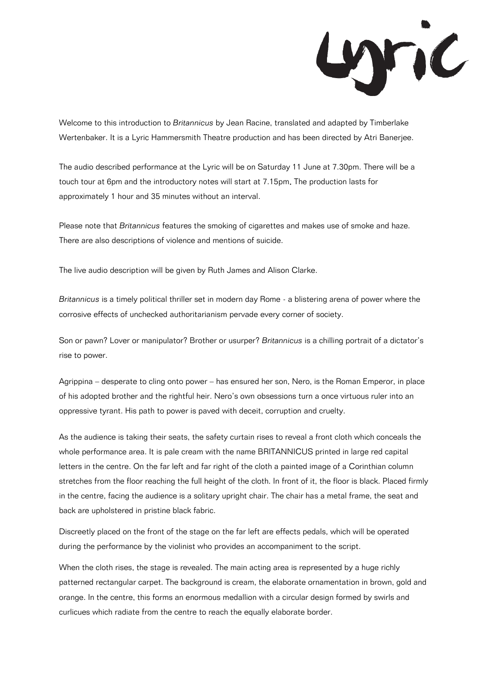

Welcome to this introduction to *Britannicus* by Jean Racine, translated and adapted by Timberlake Wertenbaker. It is a Lyric Hammersmith Theatre production and has been directed by Atri Banerjee.

The audio described performance at the Lyric will be on Saturday 11 June at 7.30pm. There will be a touch tour at 6pm and the introductory notes will start at 7.15pm. The production lasts for approximately 1 hour and 35 minutes without an interval.

Please note that *Britannicus* features the smoking of cigarettes and makes use of smoke and haze. There are also descriptions of violence and mentions of suicide.

The live audio description will be given by Ruth James and Alison Clarke.

*Britannicus* is a timely political thriller set in modern day Rome - a blistering arena of power where the corrosive effects of unchecked authoritarianism pervade every corner of society.

Son or pawn? Lover or manipulator? Brother or usurper? *Britannicus* is a chilling portrait of a dictator's rise to power.

Agrippina – desperate to cling onto power – has ensured her son, Nero, is the Roman Emperor, in place of his adopted brother and the rightful heir. Nero's own obsessions turn a once virtuous ruler into an oppressive tyrant. His path to power is paved with deceit, corruption and cruelty.

As the audience is taking their seats, the safety curtain rises to reveal a front cloth which conceals the whole performance area. It is pale cream with the name BRITANNICUS printed in large red capital letters in the centre. On the far left and far right of the cloth a painted image of a Corinthian column stretches from the floor reaching the full height of the cloth. In front of it, the floor is black. Placed firmly in the centre, facing the audience is a solitary upright chair. The chair has a metal frame, the seat and back are upholstered in pristine black fabric.

Discreetly placed on the front of the stage on the far left are effects pedals, which will be operated during the performance by the violinist who provides an accompaniment to the script.

When the cloth rises, the stage is revealed. The main acting area is represented by a huge richly patterned rectangular carpet. The background is cream, the elaborate ornamentation in brown, gold and orange. In the centre, this forms an enormous medallion with a circular design formed by swirls and curlicues which radiate from the centre to reach the equally elaborate border.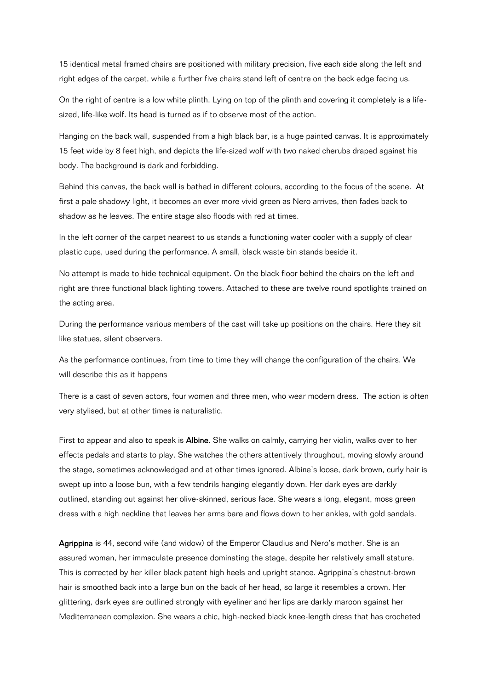15 identical metal framed chairs are positioned with military precision, five each side along the left and right edges of the carpet, while a further five chairs stand left of centre on the back edge facing us.

On the right of centre is a low white plinth. Lying on top of the plinth and covering it completely is a lifesized, life-like wolf. Its head is turned as if to observe most of the action.

Hanging on the back wall, suspended from a high black bar, is a huge painted canvas. It is approximately 15 feet wide by 8 feet high, and depicts the life-sized wolf with two naked cherubs draped against his body. The background is dark and forbidding.

Behind this canvas, the back wall is bathed in different colours, according to the focus of the scene. At first a pale shadowy light, it becomes an ever more vivid green as Nero arrives, then fades back to shadow as he leaves. The entire stage also floods with red at times.

In the left corner of the carpet nearest to us stands a functioning water cooler with a supply of clear plastic cups, used during the performance. A small, black waste bin stands beside it.

No attempt is made to hide technical equipment. On the black floor behind the chairs on the left and right are three functional black lighting towers. Attached to these are twelve round spotlights trained on the acting area.

During the performance various members of the cast will take up positions on the chairs. Here they sit like statues, silent observers.

As the performance continues, from time to time they will change the configuration of the chairs. We will describe this as it happens

There is a cast of seven actors, four women and three men, who wear modern dress. The action is often very stylised, but at other times is naturalistic.

First to appear and also to speak is **Albine.** She walks on calmly, carrying her violin, walks over to her effects pedals and starts to play. She watches the others attentively throughout, moving slowly around the stage, sometimes acknowledged and at other times ignored. Albine's loose, dark brown, curly hair is swept up into a loose bun, with a few tendrils hanging elegantly down. Her dark eyes are darkly outlined, standing out against her olive-skinned, serious face. She wears a long, elegant, moss green dress with a high neckline that leaves her arms bare and flows down to her ankles, with gold sandals.

Agrippina is 44, second wife (and widow) of the Emperor Claudius and Nero's mother. She is an assured woman, her immaculate presence dominating the stage, despite her relatively small stature. This is corrected by her killer black patent high heels and upright stance. Agrippina's chestnut-brown hair is smoothed back into a large bun on the back of her head, so large it resembles a crown. Her glittering, dark eyes are outlined strongly with eyeliner and her lips are darkly maroon against her Mediterranean complexion. She wears a chic, high-necked black knee-length dress that has crocheted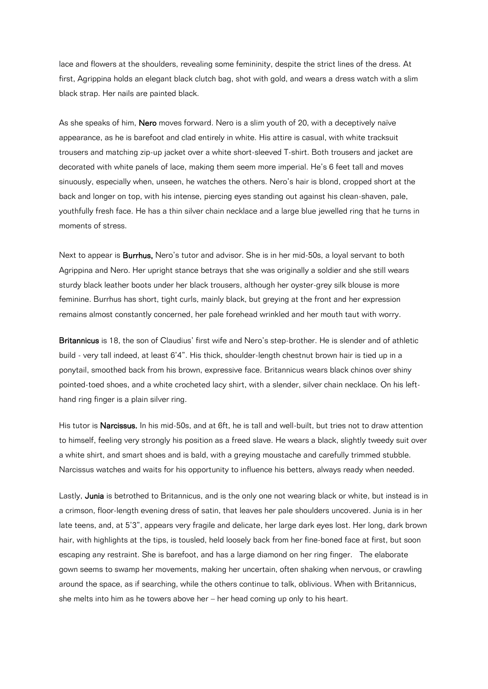lace and flowers at the shoulders, revealing some femininity, despite the strict lines of the dress. At first, Agrippina holds an elegant black clutch bag, shot with gold, and wears a dress watch with a slim black strap. Her nails are painted black.

As she speaks of him, Nero moves forward. Nero is a slim youth of 20, with a deceptively naïve appearance, as he is barefoot and clad entirely in white. His attire is casual, with white tracksuit trousers and matching zip-up jacket over a white short-sleeved T-shirt. Both trousers and jacket are decorated with white panels of lace, making them seem more imperial. He's 6 feet tall and moves sinuously, especially when, unseen, he watches the others. Nero's hair is blond, cropped short at the back and longer on top, with his intense, piercing eyes standing out against his clean-shaven, pale, youthfully fresh face. He has a thin silver chain necklace and a large blue jewelled ring that he turns in moments of stress.

Next to appear is **Burrhus**, Nero's tutor and advisor. She is in her mid-50s, a loyal servant to both Agrippina and Nero. Her upright stance betrays that she was originally a soldier and she still wears sturdy black leather boots under her black trousers, although her oyster-grey silk blouse is more feminine. Burrhus has short, tight curls, mainly black, but greying at the front and her expression remains almost constantly concerned, her pale forehead wrinkled and her mouth taut with worry.

Britannicus is 18, the son of Claudius' first wife and Nero's step-brother. He is slender and of athletic build - very tall indeed, at least 6'4". His thick, shoulder-length chestnut brown hair is tied up in a ponytail, smoothed back from his brown, expressive face. Britannicus wears black chinos over shiny pointed-toed shoes, and a white crocheted lacy shirt, with a slender, silver chain necklace. On his lefthand ring finger is a plain silver ring.

His tutor is Narcissus. In his mid-50s, and at 6ft, he is tall and well-built, but tries not to draw attention to himself, feeling very strongly his position as a freed slave. He wears a black, slightly tweedy suit over a white shirt, and smart shoes and is bald, with a greying moustache and carefully trimmed stubble. Narcissus watches and waits for his opportunity to influence his betters, always ready when needed.

Lastly, Junia is betrothed to Britannicus, and is the only one not wearing black or white, but instead is in a crimson, floor-length evening dress of satin, that leaves her pale shoulders uncovered. Junia is in her late teens, and, at 5'3", appears very fragile and delicate, her large dark eyes lost. Her long, dark brown hair, with highlights at the tips, is tousled, held loosely back from her fine-boned face at first, but soon escaping any restraint. She is barefoot, and has a large diamond on her ring finger. The elaborate gown seems to swamp her movements, making her uncertain, often shaking when nervous, or crawling around the space, as if searching, while the others continue to talk, oblivious. When with Britannicus, she melts into him as he towers above her – her head coming up only to his heart.